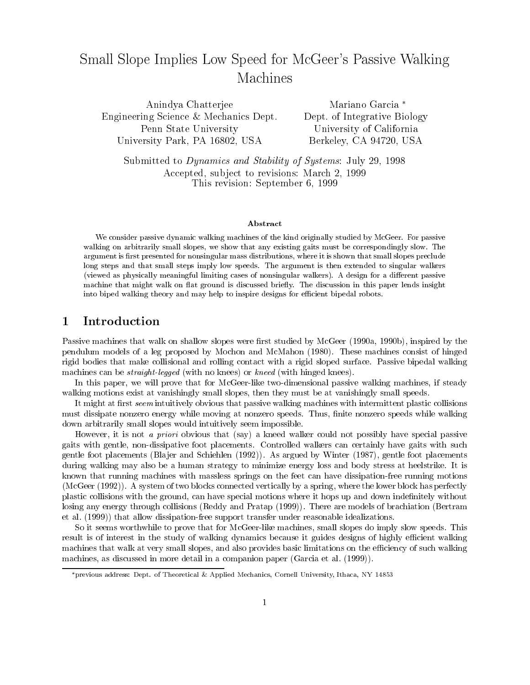# Small Slope Implies Low Speed for McGeer's Passive Walking Machines

Anindya Chatterjee Engineering Science & Mechanics Dept. Penn State University University Park, PA 16802, USA

Mariano Garcia Dept. of Integrative Biology University of California Berkeley, CA 94720, USA

Submitted to Dynamics and Stability of Systems: July 29, 1998 Accepted, sub ject to revisions: March 2, 1999 This revision: September 6, 1999

### Abstract

We consider passive dynamic walking machines of the kind originally studied by McGeer. For passive walking on arbitrarily small slopes, we show that any existing gaits must be correspondingly slow. The argument is first presented for nonsingular mass distributions, where it is shown that small slopes preclude long steps and that small steps imply low speeds. The argument is then extended to singular walkers (viewed as physically meaningful limiting cases of nonsingular walkers). A design for a different passive machine that might walk on flat ground is discussed briefly. The discussion in this paper lends insight into biped walking theory and may help to inspire designs for efficient bipedal robots.

## 1 Introduction

Passive machines that walk on shallow slopes were first studied by McGeer (1990a, 1990b), inspired by the pendulum models of a leg proposed by Mochon and McMahon (1980). These machines consist of hinged rigid bodies that make collisional and rolling contact with a rigid sloped surface. Passive bipedal walking machines can be *straight-legged* (with no knees) or *kneed* (with hinged knees).

In this paper, we will prove that for McGeer-like two-dimensional passive walking machines, if steady walking motions exist at vanishingly small slopes, then they must be at vanishingly small speeds.

It might at first seem intuitively obvious that passive walking machines with intermittent plastic collisions must dissipate nonzero energy while moving at nonzero speeds. Thus, finite nonzero speeds while walking down arbitrarily small slopes would intuitively seem impossible.

However, it is not a priori obvious that (say) a kneed walker could not possibly have special passive gaits with gentle, non-dissipative foot placements. Controlled walkers can certainly have gaits with such gentle foot placements (Blajer and Schiehlen (1992)). As argued by Winter (1987), gentle foot placements during walking may also be a human strategy to minimize energy loss and body stress at heelstrike. It is known that running machines with massless springs on the feet can have dissipation-free running motions (McGeer (1992)). A system of two blocks connected vertically by a spring, where the lower block has perfectly plastic collisions with the ground, can have special motions where it hops up and down indenitely without losing any energy through collisions (Reddy and Pratap (1999)). There are models of brachiation (Bertram et al. (1999)) that allow dissipation-free support transfer under reasonable idealizations.

So it seems worthwhile to prove that for McGeer-like machines, small slopes do imply slow speeds. This result is of interest in the study of walking dynamics because it guides designs of highly efficient walking machines that walk at very small slopes, and also provides basic limitations on the efficiency of such walking machines, as discussed in more detail in a companion paper (Garcia et al. (1999)).

previous address: Dept. of Theoretical & Applied Mechanics, Cornell University, Ithaca, NY 14853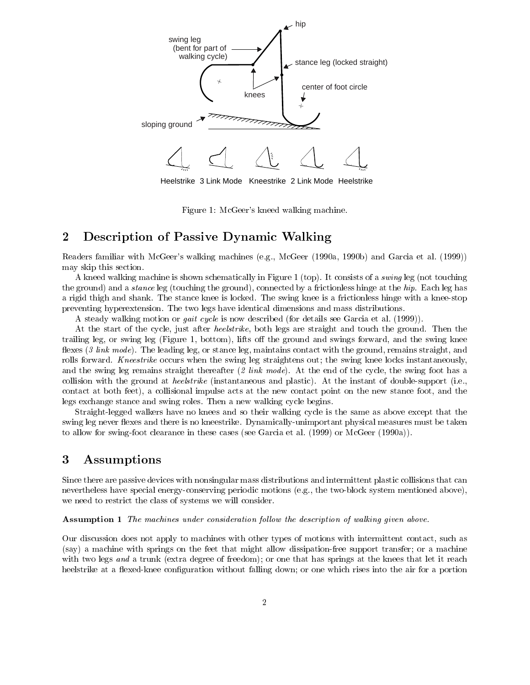

Heelstrike 3 Link Mode Kneestrike 2 Link Mode Heelstrike

Figure 1: McGeer's kneed walking machine.

## 2 Description of Passive Dynamic Walking

Readers familiar with McGeer's walking machines (e.g., McGeer (1990a, 1990b) and Garcia et al. (1999)) may skip this section.

A kneed walking machine is shown schematically in Figure 1 (top). It consists of a swing leg (not touching the ground) and a stance leg (touching the ground), connected by a frictionless hinge at the hip. Each leg has a rigid thigh and shank. The stance knee is locked. The swing knee is a frictionless hinge with a knee-stop preventing hyperextension. The two legs have identical dimensions and mass distributions.

A steady walking motion or gait cycle is now described (for details see Garcia et al. (1999)).

At the start of the cycle, just after heelstrike, both legs are straight and touch the ground. Then the trailing leg, or swing leg (Figure 1, bottom), lifts off the ground and swings forward, and the swing knee flexes (3 link mode). The leading leg, or stance leg, maintains contact with the ground, remains straight, and rolls forward. Kneestrike occurs when the swing leg straightens out; the swing knee locks instantaneously, and the swing leg remains straight thereafter  $(2 \text{ link mode})$ . At the end of the cycle, the swing foot has a collision with the ground at heelstrike (instantaneous and plastic). At the instant of double-support (i.e., contact at both feet), a collisional impulse acts at the new contact point on the new stance foot, and the legs exchange stance and swing roles. Then a new walking cycle begins.

Straight-legged walkers have no knees and so their walking cycle is the same as above except that the swing leg never flexes and there is no kneestrike. Dynamically-unimportant physical measures must be taken to allow for swing-foot clearance in these cases (see Garcia et al. (1999) or McGeer (1990a)).

#### 3 Assumptions

Since there are passive devices with nonsingular mass distributions and intermittent plastic collisions that can nevertheless have special energy-conserving periodic motions (e.g., the two-block system mentioned above), we need to restrict the class of systems we will consider.

Assumption 1 The machines under consideration follow the description of walking given above.

Our discussion does not apply to machines with other types of motions with intermittent contact, such as (say) a machine with springs on the feet that might allow dissipation-free support transfer; or a machine with two legs and a trunk (extra degree of freedom); or one that has springs at the knees that let it reach heelstrike at a flexed-knee configuration without falling down; or one which rises into the air for a portion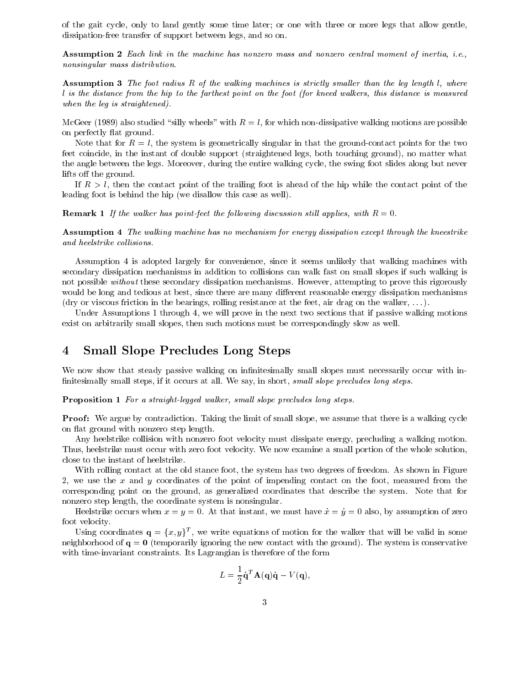of the gait cycle, only to land gently some time later; or one with three or more legs that allow gentle, dissipation-free transfer of support between legs, and so on.

Assumption 2 Each link in the machine has nonzero mass and nonzero central moment of inertia, i.e., nonsingular mass distribution.

**Assumption 3** The foot radius R of the walking machines is strictly smaller than the leg length l, where <sup>l</sup> is the distance from the hip to the farthest point on the foot (for kneed walkers, this distance is measured when the leg is straightened).

McGeer (1989) also studied "silly wheels" with  $R = l$ , for which non-dissipative walking motions are possible on perfectly 
at ground.

Note that for  $R = l$ , the system is geometrically singular in that the ground-contact points for the two feet coincide, in the instant of double support (straightened legs, both touching ground), no matter what the angle between the legs. Moreover, during the entire walking cycle, the swing foot slides along but never lifts off the ground.

If  $R>l$ , then the contact point of the trailing foot is ahead of the hip while the contact point of the leading foot is behind the hip (we disallow this case as well).

**Remark 1** If the walker has point-feet the following discussion still applies, with  $R = 0$ .

Assumption 4 The walking machine has no mechanism for energy dissipation except through the kneestrike and heelstrike collisions.

Assumption 4 is adopted largely for convenience, since it seems unlikely that walking machines with secondary dissipation mechanisms in addition to collisions can walk fast on small slopes if such walking is not possible *without* these secondary dissipation mechanisms. However, attempting to prove this rigorously would be long and tedious at best, since there are many different reasonable energy dissipation mechanisms (dry or viscous friction in the bearings, rolling resistance at the feet, air drag on the walker, . . . ).

Under Assumptions 1 through 4, we will prove in the next two sections that if passive walking motions exist on arbitrarily small slopes, then such motions must be correspondingly slow as well.

## 4 Small Slope Precludes Long Steps

We now show that steady passive walking on infinitesimally small slopes must necessarily occur with infinitesimally small steps, if it occurs at all. We say, in short, small slope precludes long steps.

Proposition 1 For a straight-legged walker, small slope precludes long steps.

Proof: We argue by contradiction. Taking the limit of small slope, we assume that there is a walking cycle on flat ground with nonzero step length.

Any heelstrike collision with nonzero foot velocity must dissipate energy, precluding a walking motion. Thus, heelstrike must occur with zero foot velocity. We now examine a small portion of the whole solution, close to the instant of heelstrike.

With rolling contact at the old stance foot, the system has two degrees of freedom. As shown in Figure 2, we use the  $x$  and  $y$  coordinates of the point of impending contact on the foot, measured from the corresponding point on the ground, as generalized coordinates that describe the system. Note that for nonzero step length, the coordinate system is nonsingular.

Heelstrike occurs when  $x = y = 0$ . At that instant, we must have  $\dot{x} = \dot{y} = 0$  also, by assumption of zero foot velocity.

Using coordinates  $\mathbf{q} = \{x, y\}^T$ , we write equations of motion for the walker that will be valid in some neighborhood of  $q = 0$  (temporarily ignoring the new contact with the ground). The system is conservative with time-invariant constraints. Its Lagrangian is therefore of the form

$$
L = \frac{1}{2} \dot{\mathbf{q}}^T \mathbf{A}(\mathbf{q}) \dot{\mathbf{q}} - V(\mathbf{q}),
$$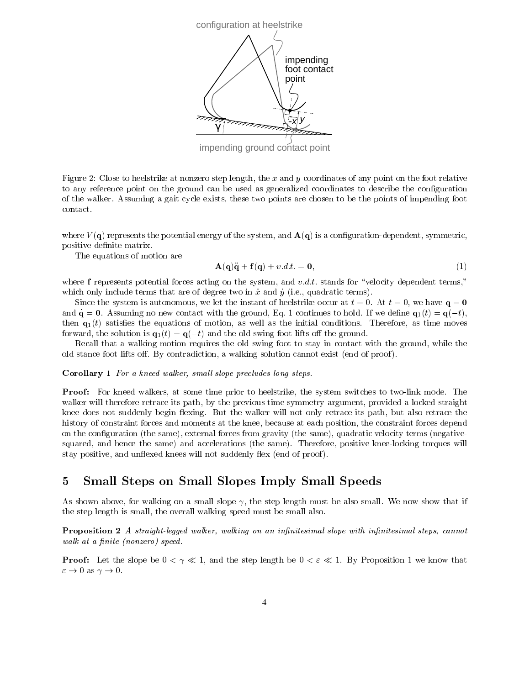

impending ground contact point

Figure 2: Close to heelstrike at nonzero step length, the x and y coordinates of any point on the foot relative to any reference point on the ground can be used as generalized coordinates to describe the configuration of the walker. Assuming a gait cycle exists, these two points are chosen to be the points of impending foot contact.

where  $V(\mathbf{q})$  represents the potential energy of the system, and  $\mathbf{A}(\mathbf{q})$  is a configuration-dependent, symmetric, positive definite matrix.

The equations of motion are

$$
\mathbf{A}(\mathbf{q})\ddot{\mathbf{q}} + \mathbf{f}(\mathbf{q}) + v \, dt = \mathbf{0},\tag{1}
$$

where f represents potential forces acting on the system, and v.d.t. stands for "velocity dependent terms," which only include terms that are of degree two in  $\dot{x}$  and  $\dot{y}$  (i.e., quadratic terms).

Since the system is autonomous, we let the instant of heelstrike occur at  $t = 0$ . At  $t = 0$ , we have  $q = 0$ and  $\dot{\mathbf{q}} = \mathbf{0}$ . Assuming no new contact with the ground, Eq. 1 continues to hold. If we define  $\mathbf{q}_1(t) = \mathbf{q}(-t)$ , then  $\mathbf{q}_1(t)$  satisfies the equations of motion, as well as the initial conditions. Therefore, as time moves forward, the solution is  $\mathbf{q}_1(t) = \mathbf{q}(-t)$  and the old swing foot lifts off the ground.

Recall that a walking motion requires the old swing foot to stay in contact with the ground, while the old stance foot lifts off. By contradiction, a walking solution cannot exist (end of proof).

### Corollary 1 For a kneed walker, small slope precludes long steps.

Proof: For kneed walkers, at some time prior to heelstrike, the system switches to two-link mode. The walker will therefore retrace its path, by the previous time-symmetry argument, provided a locked-straight knee does not suddenly begin flexing. But the walker will not only retrace its path, but also retrace the history of constraint forces and moments at the knee, because at each position, the constraint forces depend on the conguration (the same), external forces from gravity (the same), quadratic velocity terms (negativesquared, and hence the same) and accelerations (the same). Therefore, positive knee-locking torques will stay positive, and unflexed knees will not suddenly flex (end of proof).

### 5 Small Steps on Small Slopes Imply Small Speeds  $\overline{5}$

As shown above, for walking on a small slope  $\gamma$ , the step length must be also small. We now show that if the step length is small, the overall walking speed must be small also.

**Proposition 2** A straight-legged walker, walking on an infinitesimal slope with infinitesimal steps, cannot walk at a finite (nonzero) speed.

**Proof:** Let the slope be  $0 < \gamma \ll 1$ , and the step length be  $0 < \varepsilon \ll 1$ . By Proposition 1 we know that  $\varepsilon \to 0$  as  $\gamma \to 0$ .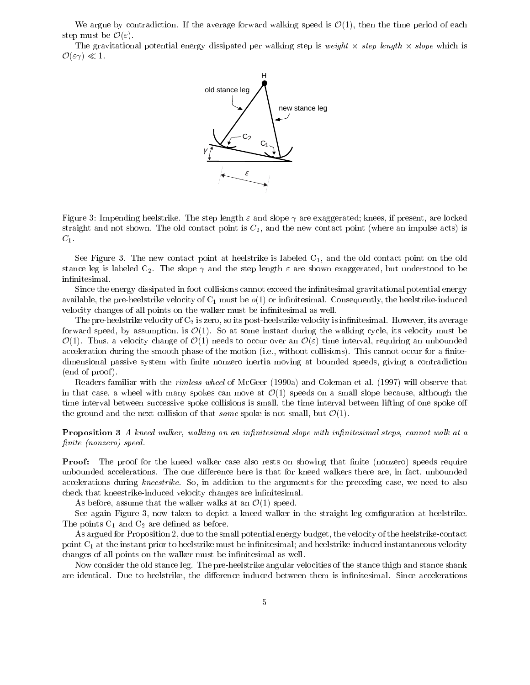We argue by contradiction. If the average forward walking speed is  $\mathcal{O}(1)$ , then the time period of each step must be  $\mathcal{O}(\varepsilon)$ .

The gravitational potential energy dissipated per walking step is  $weight \times step$  length  $\times slope$  which is  $\mathcal{O}(\varepsilon\gamma) \ll 1$ .



Figure 3: Impending heelstrike. The step length  $\varepsilon$  and slope  $\gamma$  are exaggerated; knees, if present, are locked straight and not shown. The old contact point is  $C_2$ , and the new contact point (where an impulse acts) is

 $C_1$ .<br>See Figure 3. The new contact point at heelstrike is labeled  $C_1$ , and the old contact point on the old stance leg is labeled  $C_2$ . The slope  $\gamma$  and the step length  $\varepsilon$  are shown exaggerated, but understood to be infinitesimal.

Since the energy dissipated in foot collisions cannot exceed the infinitesimal gravitational potential energy available, the pre-heelstrike velocity of  $C_1$  must be  $o(1)$  or infinitesimal. Consequently, the heelstrike-induced velocity changes of all points on the walker must be infinitesimal as well.

The pre-heelstrike velocity of  $C_2$  is zero, so its post-heelstrike velocity is infinitesimal. However, its average forward speed, by assumption, is  $\mathcal{O}(1)$ . So at some instant during the walking cycle, its velocity must be  $\mathcal{O}(1)$ . Thus, a velocity change of  $\mathcal{O}(1)$  needs to occur over an  $\mathcal{O}(\varepsilon)$  time interval, requiring an unbounded acceleration during the smooth phase of the motion (i.e., without collisions). This cannot occur for a finitedimensional passive system with finite nonzero inertia moving at bounded speeds, giving a contradiction (end of proof ).

Readers familiar with the rimless wheel of McGeer (1990a) and Coleman et al. (1997) will observe that in that case, a wheel with many spokes can move at  $\mathcal{O}(1)$  speeds on a small slope because, although the time interval between successive spoke collisions is small, the time interval between lifting of one spoke o the ground and the next collision of that same spoke is not small, but  $\mathcal{O}(1)$ .

**Proposition 3** A kneed walker, walking on an infinitesimal slope with infinitesimal steps, cannot walk at a finite (nonzero) speed.

**Proof:** The proof for the kneed walker case also rests on showing that finite (nonzero) speeds require unbounded accelerations. The one difference here is that for kneed walkers there are, in fact, unbounded accelerations during kneestrike. So, in addition to the arguments for the preceding case, we need to also check that kneestrike-induced velocity changes are infinitesimal.

As before, assume that the walker walks at an  $\mathcal{O}(1)$  speed.

See again Figure 3, now taken to depict a kneed walker in the straight-leg configuration at heelstrike. The points  $C_1$  and  $C_2$  are defined as before.

As argued for Proposition 2, due to the small potential energy budget, the velocity of the heelstrike-contact point  $C_1$  at the instant prior to heelstrike must be infinitesimal; and heelstrike-induced instantaneous velocity changes of all points on the walker must be infinitesimal as well.

Now consider the old stance leg. The pre-heelstrike angular velocities of the stance thigh and stance shank are identical. Due to heelstrike, the difference induced between them is infinitesimal. Since accelerations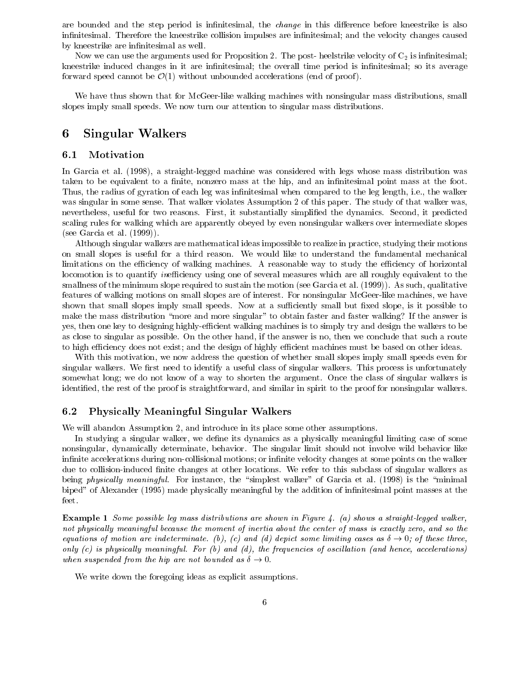are bounded and the step period is infinitesimal, the *change* in this difference before kneestrike is also infinitesimal. Therefore the kneestrike collision impulses are infinitesimal; and the velocity changes caused by kneestrike are infinitesimal as well.

Now we can use the arguments used for Proposition 2. The post- heelstrike velocity of  $C_2$  is infinitesimal; kneestrike induced changes in it are infinitesimal; the overall time period is infinitesimal; so its average forward speed cannot be  $\mathcal{O}(1)$  without unbounded accelerations (end of proof).

We have thus shown that for McGeer-like walking machines with nonsingular mass distributions, small slopes imply small speeds. We now turn our attention to singular mass distributions.

### 6 Singular Walkers 6

### 6.1 Motivation

In Garcia et al. (1998), a straight-legged machine was considered with legs whose mass distribution was taken to be equivalent to a finite, nonzero mass at the hip, and an infinitesimal point mass at the foot. Thus, the radius of gyration of each leg was infinitesimal when compared to the leg length, i.e., the walker was singular in some sense. That walker violates Assumption 2 of this paper. The study of that walker was, nevertheless, useful for two reasons. First, it substantially simplied the dynamics. Second, it predicted scaling rules for walking which are apparently obeyed by even nonsingular walkers over intermediate slopes (see Garcia et al. (1999)).

Although singular walkers are mathematical ideas impossible to realize in practice, studying their motions on small slopes is useful for a third reason. We would like to understand the fundamental mechanical limitations on the efficiency of walking machines. A reasonable way to study the efficiency of horizontal locomotion is to quantify *inefficiency* using one of several measures which are all roughly equivalent to the smallness of the minimum slope required to sustain the motion (see Garcia et al. (1999)). As such, qualitative features of walking motions on small slopes are of interest. For nonsingular McGeer-like machines, we have shown that small slopes imply small speeds. Now at a sufficiently small but fixed slope, is it possible to make the mass distribution "more and more singular" to obtain faster and faster walking? If the answer is yes, then one key to designing highly-efficient walking machines is to simply try and design the walkers to be as close to singular as possible. On the other hand, if the answer is no, then we conclude that such a route to high efficiency does not exist; and the design of highly efficient machines must be based on other ideas.

With this motivation, we now address the question of whether small slopes imply small speeds even for singular walkers. We first need to identify a useful class of singular walkers. This process is unfortunately somewhat long; we do not know of a way to shorten the argument. Once the class of singular walkers is identied, the rest of the proof is straightforward, and similar in spirit to the proof for nonsingular walkers.

### 6.2 Physically Meaningful Singular Walkers

We will abandon Assumption 2, and introduce in its place some other assumptions.

In studying a singular walker, we define its dynamics as a physically meaningful limiting case of some nonsingular, dynamically determinate, behavior. The singular limit should not involve wild behavior like infinite accelerations during non-collisional motions; or infinite velocity changes at some points on the walker due to collision-induced finite changes at other locations. We refer to this subclass of singular walkers as being *physically meaningful.* For instance, the "simplest walker" of Garcia et al. (1998) is the "minimal biped" of Alexander (1995) made physically meaningful by the addition of infinitesimal point masses at the feet.

Example 1 Some possible leg mass distributions are shown in Figure 4. (a) shows a straight-legged walker, not physically meaningful because the moment of inertia about the center of mass is exactly zero, and so the equations of motion are indeterminate. (b), (c) and (d) depict some limiting cases as  $\delta \to 0$ ; of these three, only  $(c)$  is physically meaningful. For  $(b)$  and  $(d)$ , the frequencies of oscillation (and hence, accelerations) when suspended from the hip are not bounded as  $\delta \to 0$ .

We write down the foregoing ideas as explicit assumptions.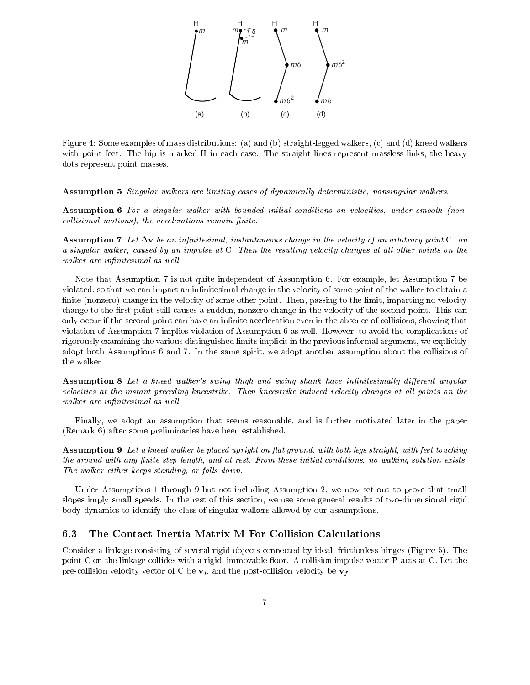

Figure 4: Some examples of mass distributions: (a) and (b) straight-legged walkers, (c) and (d) kneed walkers with point feet. The hip is marked H in each case. The straight lines represent massless links; the heavy dots represent point masses.

Assumption 5 Singular walkers are limiting cases of dynamically deterministic, nonsingular walkers.

Assumption 6 For a singular walker with bounded initial conditions on velocities, under smooth (noncollisional motions), the accelerations remain finite.

**Assumption 7** Let  $\Delta v$  be an infinitesimal, instantaneous change in the velocity of an arbitrary point C on a singular walker, caused by an impulse at C. Then the resulting velocity changes at all other points on the walker are infinitesimal as well.

Note that Assumption 7 is not quite independent of Assumption 6. For example, let Assumption 7 be violated, so that we can impart an infinitesimal change in the velocity of some point of the walker to obtain a finite (nonzero) change in the velocity of some other point. Then, passing to the limit, imparting no velocity change to the first point still causes a sudden, nonzero change in the velocity of the second point. This can only occur if the second point can have an infinite acceleration even in the absence of collisions, showing that violation of Assumption 7 implies violation of Assumption 6 as well. However, to avoid the complications of rigorously examining the various distinguished limits implicit in the previous informal argument, we explicitly adopt both Assumptions 6 and 7. In the same spirit, we adopt another assumption about the collisions of the walker.

Assumption 8 Let a kneed walker's swing thigh and swing shank have infinitesimally different angular velocities at the instant preceding kneestrike. Then kneestrike-induced velocity changes at all points on the walker are infinitesimal as well.

Finally, we adopt an assumption that seems reasonable, and isfurther motivated later in the paper (Remark 6) after some preliminaries have been established.

**Assumption 9** Let a kneed walker be placed upright on flat ground, with both legs straight, with feet touching the ground with any finite step length, and at rest. From these initial conditions, no walking solution exists. The walker either keeps standing, or falls down.

Under Assumptions 1 through 9 but not including Assumption 2, we now set out to prove that small slopes imply small speeds. In the rest of this section, we use some general results of two-dimensional rigid body dynamics to identify the class of singular walkers allowed by our assumptions.

#### The Contact Inertia Matrix M For Collision Calculations 6.3

Consider a linkage consisting of several rigid ob jects connected by ideal, frictionless hinges (Figure 5). The point C on the linkage collides with a rigid, immovable floor. A collision impulse vector  $P$  acts at C. Let the pre-collision velocity vector of C be  $v_i$ , and the post-collision velocity be  $v_f$ .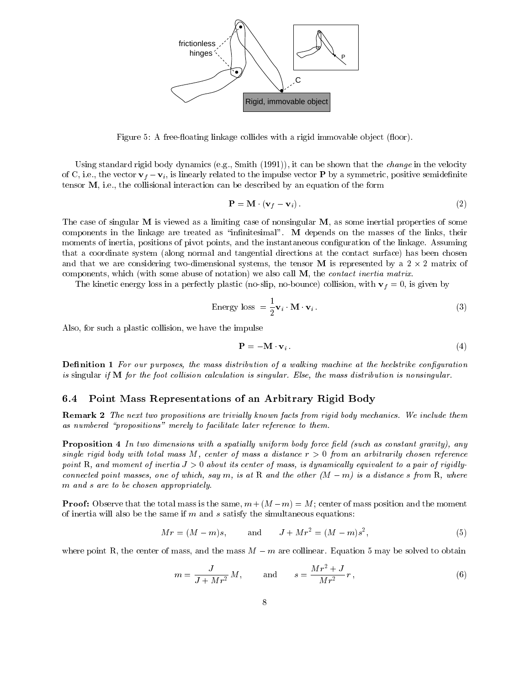

Figure 5: A free-floating linkage collides with a rigid immovable object (floor).

Using standard rigid body dynamics (e.g., Smith (1991)), it can be shown that the change in the velocity of C, i.e., the vector  $\mathbf{v}_f - \mathbf{v}_i$ , is linearly related to the impulse vector **P** by a symmetric, positive semidefinite tensor M, i.e., the collisional interaction can be described by an equation of the form

$$
\mathbf{P} = \mathbf{M} \cdot (\mathbf{v}_f - \mathbf{v}_i). \tag{2}
$$

The case of singular M is viewed as a limiting case of nonsingular M, as some inertial properties of some components in the linkage are treated as "infinitesimal". M depends on the masses of the links, their moments of inertia, positions of pivot points, and the instantaneous conguration of the linkage. Assuming that a coordinate system (along normal and tangential directions at the contact surface) has been chosen and that we are considering two-dimensional systems, the tensor  $\mathbf M$  is represented by a 2  $\times$  2 matrix of components, which (with some abuse of notation) we also call M, the contact inertia matrix.

The kinetic energy loss in a perfectly plastic (no-slip, no-bounce) collision, with  $\mathbf{v}_f = 0$ , is given by

Energy loss = 
$$
\frac{1}{2} \mathbf{v}_i \cdot \mathbf{M} \cdot \mathbf{v}_i
$$
. (3)

Also, for such a plastic collision, we have the impulse

$$
\mathbf{P} = -\mathbf{M} \cdot \mathbf{v}_i \tag{4}
$$

**Definition 1** For our purposes, the mass distribution of a walking machine at the heelstrike configuration is singular if  $M$  for the foot collision calculation is singular. Else, the mass distribution is nonsingular.

### 6.4 Point Mass Representations of an Arbitrary Rigid Body

**Remark 2** The next two propositions are trivially known facts from rigid body mechanics. We include them as numbered "propositions" merely to facilitate later reference to them.

**Proposition 4** In two dimensions with a spatially uniform body force field (such as constant gravity), any single rigid body with total mass M, center of mass a distance  $r > 0$  from an arbitrarily chosen reference point R, and moment of inertia  $J > 0$  about its center of mass, is dynamically equivalent to a pair of rigidlyconnected point masses, one of which, say m, is at R and the other  $(M - m)$  is a distance s from R, where <sup>m</sup> and <sup>s</sup> are to be chosen appropriately.

**Proof:** Observe that the total mass is the same,  $m + (M - m) = M$ ; center of mass position and the moment of inertia will also be the same if  $m$  and  $s$  satisfy the simultaneous equations:

$$
Mr = (M - m)s, \qquad \text{and} \qquad J + Mr^2 = (M - m)s^2, \tag{5}
$$

where point R, the center of mass, and the mass  $M - m$  are collinear. Equation 5 may be solved to obtain

$$
m = \frac{J}{J + Mr^2} M
$$
, and  $s = \frac{Mr^2 + J}{Mr^2} r$ , (6)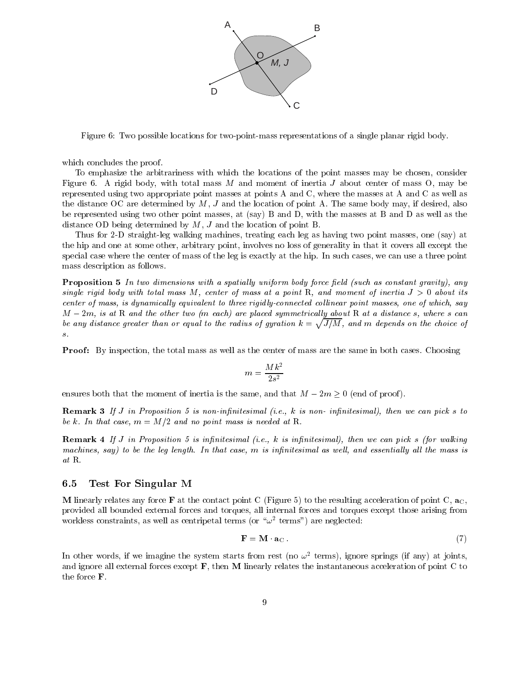

Figure 6: Two possible locations for two-point-mass representations of a single planar rigid body.

which concludes the proof.

To emphasize the arbitrariness with which the locations of the point masses may be chosen, consider Figure 6. A rigid body, with total mass  $M$  and moment of inertia  $J$  about center of mass  $O$ , may be represented using two appropriate point masses at points A and C, where the masses at A and C as well as the distance OC are determined by  $M$ ,  $J$  and the location of point A. The same body may, if desired, also be represented using two other point masses, at (say) B and D, with the masses at B and D as well as the distance OD being determined by M, <sup>J</sup> and the location of point B.

Thus for 2-D straight-leg walking machines, treating each leg as having two point masses, one (say) at the hip and one at some other, arbitrary point, involves no loss of generality in that it covers all except the special case where the center of mass of the leg is exactly at the hip. In such cases, we can use a three point mass description as follows.

**Proposition 5** In two dimensions with a spatially uniform body force field (such as constant gravity), any single rigid body with total mass M, center of mass at a point R, and moment of inertia  $J > 0$  about its center of mass, is dynamically equivalent to three rigidly-connected collinear point masses, one of which, say  $M - 2m$ , is at R and the other two (m each) are placed symmetrically about R at a distance s, where s can be any distance greater than or equal to the radius of gyration  $k = \sqrt{J/M}$ , and m depends on the choice of s.

**Proof:** By inspection, the total mass as well as the center of mass are the same in both cases. Choosing

$$
m = \frac{Mk^2}{2s^2}
$$

ensures both that the moment of inertia is the same, and that  $M - 2m \geq 0$  (end of proof).

**Remark 3** If J in Proposition 5 is non-infinitesimal (i.e., k is non-infinitesimal), then we can pick s to be k. In that case,  $m = M/2$  and no point mass is needed at R.

**Remark 4** If J in Proposition 5 is infinitesimal (i.e., k is infinitesimal), then we can pick s (for walking machines, say) to be the leg length. In that case, m is infinitesimal as well, and essentially all the mass is at R.

#### 6.5 Test For Singular M

M linearly relates any force **F** at the contact point C (Figure 5) to the resulting acceleration of point C,  $\mathbf{a}_C$ , provided all bounded external forces and torques, all internal forces and torques except those arising from workless constraints, as well as centripetal terms (or  $\omega$  -terms ) are neglected:

$$
\mathbf{F} = \mathbf{M} \cdot \mathbf{a}_{\mathbf{C}} \tag{7}
$$

In other words, if we imagine the system starts from rest (no  $\omega$  -terms), ignore springs (if any) at joints, and ignore all external forces except F, then M linearly relates the instantaneous acceleration of point C to the force F.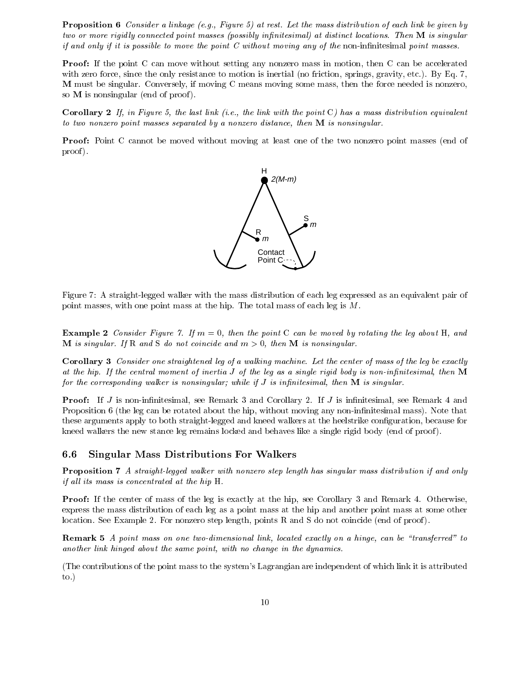Proposition 6 Consider a linkage (e.g., Figure 5) at rest. Let the mass distribution of each link be given by two or more rigidly connected point masses (possibly infinitesimal) at distinct locations. Then M is singular if and only if it is possible to move the point  $C$  without moving any of the non-infinitesimal point masses.

**Proof:** If the point C can move without setting any nonzero mass in motion, then C can be accelerated with zero force, since the only resistance to motion is inertial (no friction, springs, gravity, etc.). By Eq. 7, M must be singular. Conversely, if moving C means moving some mass, then the force needed is nonzero, so **M** is nonsingular (end of proof).

**Corollary 2** If, in Figure 5, the last link (i.e., the link with the point C) has a mass distribution equivalent to two nonzero point masses separated by a nonzero distance, then M is nonsingular.

**Proof:** Point C cannot be moved without moving at least one of the two nonzero point masses (end of proof).



Figure 7: A straight-legged walker with the mass distribution of each leg expressed as an equivalent pair of point masses, with one point mass at the hip. The total mass of each leg is M.

**Example 2** Consider Figure 7. If  $m = 0$ , then the point C can be moved by rotating the leg about H, and **M** is singular. If R and S do not coincide and  $m > 0$ , then **M** is nonsingular.

Corollary 3 Consider one straightened leg of a walking machine. Let the center of mass of the leg be exactly at the hip. If the central moment of inertia  $J$  of the leg as a single rigid body is non-infinitesimal, then  $M$ for the corresponding walker is nonsingular; while if  $J$  is infinitesimal, then  $\bf{M}$  is singular.

**Proof:** If  $J$  is non-infinitesimal, see Remark 3 and Corollary 2. If  $J$  is infinitesimal, see Remark 4 and Proposition 6 (the leg can be rotated about the hip, without moving any non-infinitesimal mass). Note that these arguments apply to both straight-legged and kneed walkers at the heelstrike conguration, because for kneed walkers the new stance leg remains locked and behaves like a single rigid body (end of proof ).

#### 6.6 Singular Mass Distributions For Walkers  $6.6$

Proposition 7 A straight-legged walker with nonzero step length has singular mass distribution if and only if all its mass is concentrated at the hip  $H$ .

Proof: If the center of mass of the leg is exactly at the hip, see Corollary 3 and Remark 4. Otherwise, express the mass distribution of each leg as a point mass at the hip and another point mass at some other location. See Example 2. For nonzero step length, points R and S do not coincide (end of proof ).

Remark 5 A point mass on one two-dimensional link, located exactly on a hinge, can be "transferred" to another link hinged about the same point, with no change in the dynamics.

(The contributions of the point mass to the system's Lagrangian are independent of which link it is attributed to.)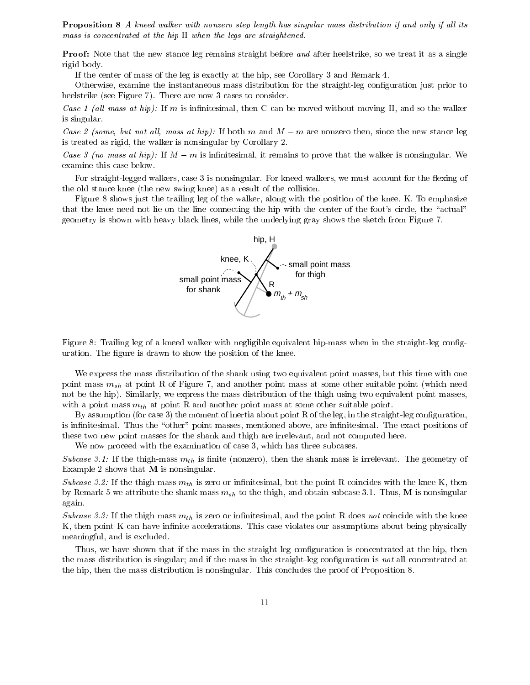**Proposition 8** A kneed walker with nonzero step length has singular mass distribution if and only if all its mass is concentrated at the hip H when the legs are straightened.

**Proof:** Note that the new stance leg remains straight before and after heelstrike, so we treat it as a single rigid body.

If the center of mass of the leg is exactly at the hip, see Corollary 3 and Remark 4.

Otherwise, examine the instantaneous mass distribution for the straight-leg conguration just prior to heelstrike (see Figure 7). There are now 3 cases to consider.

Case 1 (all mass at hip): If m is infinitesimal, then C can be moved without moving H, and so the walker is singular.

Case 2 (some, but not all, mass at hip): If both m and  $M-m$  are nonzero then, since the new stance leg is treated as rigid, the walker is nonsingular by Corollary 2.

Case 3 (no mass at hip): If  $M-m$  is infinitesimal, it remains to prove that the walker is nonsingular. We examine this case below.

For straight-legged walkers, case 3 is nonsingular. For kneed walkers, we must account for the flexing of the old stance knee (the new swing knee) as a result of the collision.

Figure 8 shows just the trailing leg of the walker, along with the position of the knee, K. To emphasize that the knee need not lie on the line connecting the hip with the center of the foot's circle, the "actual" geometry is shown with heavy black lines, while the underlying gray shows the sketch from Figure 7.



Figure 8: Trailing leg of a kneed walker with negligible equivalent hip-mass when in the straight-leg conguration. The figure is drawn to show the position of the knee.

We express the mass distribution of the shank using two equivalent point masses, but this time with one point mass  $m_{sh}$  at point R of Figure 7, and another point mass at some other suitable point (which need not be the hip). Similarly, we express the mass distribution of the thigh using two equivalent point masses, with a point mass  $m_{th}$  at point R and another point mass at some other suitable point.

By assumption (for case 3) the moment of inertia about point R of the leg, in the straight-leg configuration, is infinitesimal. Thus the "other" point masses, mentioned above, are infinitesimal. The exact positions of these two new point masses for the shank and thigh are irrelevant, and not computed here.

We now proceed with the examination of case 3, which has three subcases.

Subcase 3.1: If the thigh-mass  $m_{th}$  is finite (nonzero), then the shank mass is irrelevant. The geometry of Example 2 shows that M is nonsingular.

Subcase 3.2: If the thigh-mass  $m_{th}$  is zero or infinitesimal, but the point R coincides with the knee K, then by Remark 5 we attribute the shank-mass  $m_{sh}$  to the thigh, and obtain subcase 3.1. Thus, M is nonsingular again.

Subcase 3.3: If the thigh mass  $m_{th}$  is zero or infinitesimal, and the point R does not coincide with the knee  $K$ , then point  $K$  can have infinite accelerations. This case violates our assumptions about being physically meaningful, and is excluded.

Thus, we have shown that if the mass in the straight leg configuration is concentrated at the hip, then the mass distribution is singular; and if the mass in the straight-leg configuration is not all concentrated at the hip, then the mass distribution is nonsingular. This concludes the proof of Proposition 8.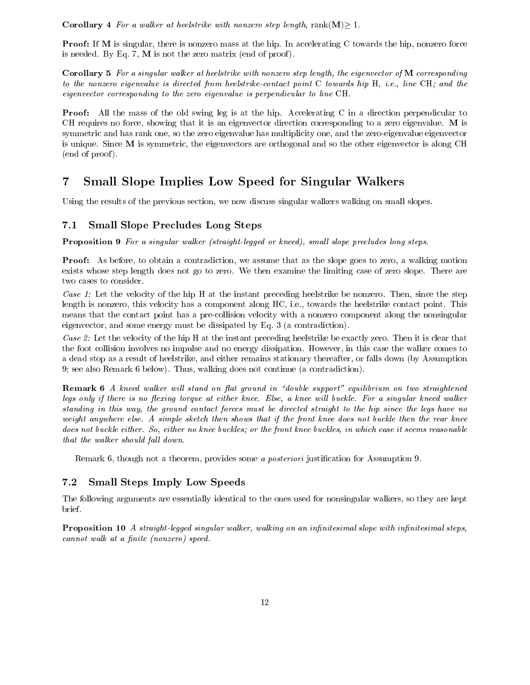**Corollary 4** For a walker at heelstrike with nonzero step length,  $rank(M) > 1$ .

**Proof:** If M is singular, there is nonzero mass at the hip. In accelerating C towards the hip, nonzero force is needed. By Eq. 7,  $M$  is not the zero matrix (end of proof).

Corollary 5 For a singular walker at heelstrike with nonzero step length, the eigenvector of M corresponding to the nonzero eigenvalue is directed from heelstrike-contact point  $C$  towards hip  $H$ , i.e., line  $CH$ ; and the eigenvector corresponding to the zero eigenvalue is perpendicular to line CH.

Proof: All the mass of the old swing leg is at the hip. Accelerating C in a direction perpendicular to CH requires no force, showing that it is an eigenvector direction corresponding to a zero eigenvalue. M is symmetric and has rank one, so the zero eigenvalue has multiplicity one, and the zero-eigenvalue eigenvector is unique. Since M is symmetric, the eigenvectors are orthogonal and so the other eigenvector is along CH (end of proof ).

### $\overline{7}$ **Small Slope Implies Low Speed for Singular Walkers**

Using the results of the previous section, we now discuss singular walkers walking on small slopes.

#### $7.1$ **Small Slope Precludes Long Steps**

Proposition 9 For a singular walker (straight-legged or kneed), small slope precludes long steps.

**Proof:** As before, to obtain a contradiction, we assume that as the slope goes to zero, a walking motion exists whose step length does not go to zero. We then examine the limiting case of zero slope. There are two cases to consider.

Case 1: Let the velocity of the hip H at the instant preceding heelstrike be nonzero. Then, since the step length is nonzero, this velocity has a component along HC, i.e., towards the heelstrike contact point. This means that the contact point has a pre-collision velocity with a nonzero component along the nonsingular eigenvector, and some energy must be dissipated by Eq. 3 (a contradiction).

Case 2: Let the velocity of the hip H at the instant preceding heelstrike be exactly zero. Then it is clear that the foot collision involves no impulse and no energy dissipation. However, in this case the walker comes to a dead stop as a result of heelstrike, and either remains stationary thereafter, or falls down (by Assumption 9; see also Remark 6 below). Thus, walking does not continue (a contradiction).

**Remark 6** A kneed walker will stand on flat ground in "double support" equilibrium on two straightened legs only if there is no flexing torque at either knee. Else, a knee will buckle. For a singular kneed walker standing in this way, the ground contact forces must be directed straight to the hip since the legs have no weight anywhere else. A simple sketch then shows that if the front knee does not buckle then the rear knee does not buckle either. So, either no knee buckles; or the front knee buckles, in which case it seems reasonable that the walker should fall down.

Remark 6, though not a theorem, provides some a *posteriori* justification for Assumption 9.

## 7.2 Small Steps Imply Low Speeds

The following arguments are essentially identical to the ones used for nonsingular walkers, so they are kept brief.

**Proposition 10** A straight-legged singular walker, walking on an infinitesimal slope with infinitesimal steps,  $cannot walk at a finite (nonzero) speed.$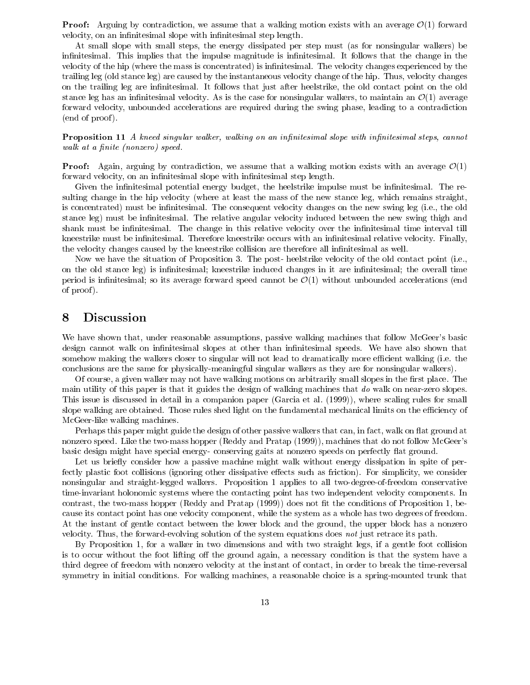**Proof:** Arguing by contradiction, we assume that a walking motion exists with an average  $\mathcal{O}(1)$  forward velocity, on an infinitesimal slope with infinitesimal step length.

At small slope with small steps, the energy dissipated per step must (as for nonsingular walkers) be infinitesimal. This implies that the impulse magnitude is infinitesimal. It follows that the change in the velocity of the hip (where the mass is concentrated) is infinitesimal. The velocity changes experienced by the trailing leg (old stance leg) are caused by the instantaneous velocity change of the hip. Thus, velocity changes on the trailing leg are innitesimal. It follows that just after heelstrike, the old contact point on the old stance leg has an infinitesimal velocity. As is the case for nonsingular walkers, to maintain an  $\mathcal{O}(1)$  average forward velocity, unbounded accelerations are required during the swing phase, leading to a contradiction (end of proof ).

**Proposition 11** A kneed singular walker, walking on an infinitesimal slope with infinitesimal steps, cannot walk at a finite (nonzero) speed.

**Proof:** Again, arguing by contradiction, we assume that a walking motion exists with an average  $\mathcal{O}(1)$ forward velocity, on an infinitesimal slope with infinitesimal step length.

Given the infinitesimal potential energy budget, the heelstrike impulse must be infinitesimal. The resulting change in the hip velocity (where at least the mass of the new stance leg, which remains straight, is concentrated) must be infinitesimal. The consequent velocity changes on the new swing leg (i.e., the old stance leg) must be infinitesimal. The relative angular velocity induced between the new swing thigh and shank must be infinitesimal. The change in this relative velocity over the infinitesimal time interval till kneestrike must be infinitesimal. Therefore kneestrike occurs with an infinitesimal relative velocity. Finally, the velocity changes caused by the kneestrike collision are therefore all infinitesimal as well.

Now we have the situation of Proposition 3. The post- heelstrike velocity of the old contact point (i.e., on the old stance leg) is infinitesimal; kneestrike induced changes in it are infinitesimal; the overall time period is infinitesimal; so its average forward speed cannot be  $\mathcal{O}(1)$  without unbounded accelerations (end of proof ).

## 8 Discussion

We have shown that, under reasonable assumptions, passive walking machines that follow McGeer's basic design cannot walk on infinitesimal slopes at other than infinitesimal speeds. We have also shown that somehow making the walkers closer to singular will not lead to dramatically more efficient walking (i.e. the conclusions are the same for physically-meaningful singular walkers as they are for nonsingular walkers).

Of course, a given walker may not have walking motions on arbitrarily small slopes in the first place. The main utility of this paper is that it guides the design of walking machines that do walk on near-zero slopes. This issue is discussed in detail in a companion paper (Garcia et al. (1999)), where scaling rules for small slope walking are obtained. Those rules shed light on the fundamental mechanical limits on the efficiency of McGeer-like walking machines.

Perhaps this paper might guide the design of other passive walkers that can, in fact, walk on flat ground at nonzero speed. Like the two-mass hopper (Reddy and Pratap (1999)), machines that do not follow McGeer's basic design might have special energy- conserving gaits at nonzero speeds on perfectly flat ground.

Let us briefly consider how a passive machine might walk without energy dissipation in spite of perfectly plastic foot collisions (ignoring other dissipative effects such as friction). For simplicity, we consider nonsingular and straight-legged walkers. Proposition 1 applies to all two-degree-of-freedom conservative time-invariant holonomic systems where the contacting point has two independent velocity components. In contrast, the two-mass hopper (Reddy and Pratap  $(1999)$ ) does not fit the conditions of Proposition 1, because its contact point has one velocity component, while the system as a whole has two degrees of freedom. At the instant of gentle contact between the lower block and the ground, the upper block has a nonzero velocity. Thus, the forward-evolving solution of the system equations does not just retrace its path.

By Proposition 1, for a walker in two dimensions and with two straight legs, if a gentle foot collision is to occur without the foot lifting off the ground again, a necessary condition is that the system have a third degree of freedom with nonzero velocity at the instant of contact, in order to break the time-reversal symmetry in initial conditions. For walking machines, a reasonable choice is a spring-mounted trunk that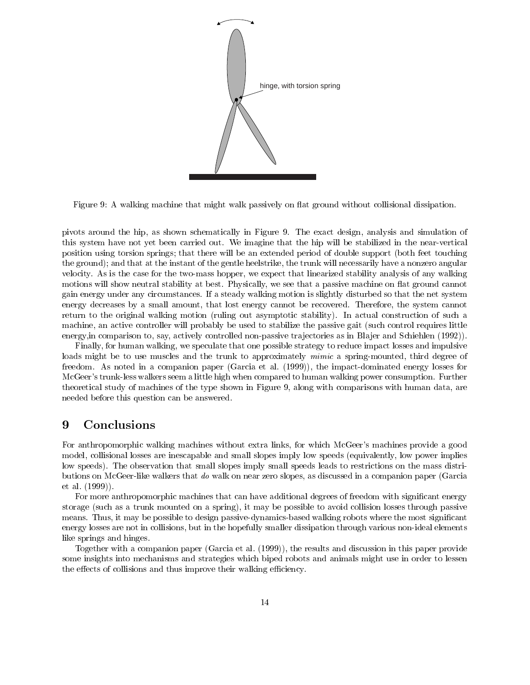

Figure 9: A walking machine that might walk passively on flat ground without collisional dissipation.

pivots around the hip, as shown schematically in Figure 9.The exact design, analysis and simulation of this system have not yet been carried out. We imagine that the hip will be stabilized in the near-vertical position using torsion springs; that there will be an extended period of double support (both feet touching the ground); and that at the instant of the gentle heelstrike, the trunk will necessarily have a nonzero angular velocity. As is the case for the two-mass hopper, we expect that linearized stability analysis of any walking motions will show neutral stability at best. Physically, we see that a passive machine on flat ground cannot gain energy under any circumstances. If a steady walking motion is slightly disturbed so that the net system energy decreases by a small amount, that lost energy cannot be recovered. Therefore, the system cannot return to the original walking motion (ruling out asymptotic stability). In actual construction of such a machine, an active controller will probably be used to stabilize the passive gait (such control requires little energy, in comparison to, say, actively controlled non-passive trajectories as in Blajer and Schiehlen (1992).

Finally, for human walking, we speculate that one possible strategy to reduce impact losses and impulsive loads might be to use muscles and the trunk to approximately *mimic* a spring-mounted, third degree of freedom. As noted in a companion paper (Garcia et al. (1999)), the impact-dominated energy losses for McGeer's trunk-less walkers seem a little high when compared to human walking power consumption. Further theoretical study of machines of the type shown in Figure 9, along with comparisons with human data, are needed before this question can be answered.

### 9 **Conclusions**

For anthropomorphic walking machines without extra links, for which McGeer's machines provide a good model, collisional losses are inescapable and small slopes imply low speeds (equivalently, low power implies low speeds). The observation that small slopes imply small speeds leads to restrictions on the mass distributions on McGeer-like walkers that do walk on near zero slopes, as discussed in a companion paper (Garcia et al. (1999)).

For more anthropomorphic machines that can have additional degrees of freedom with significant energy storage (such as a trunk mounted on a spring), it may be possible to avoid collision losses through passive means. Thus, it may be possible to design passive-dynamics-based walking robots where the most significant energy losses are not in collisions, but in the hopefully smaller dissipation through various non-ideal elements like springs and hinges.

Together with a companion paper (Garcia et al. (1999)), the results and discussion in this paper provide some insights into mechanisms and strategies which biped robots and animals might use in order to lessen the effects of collisions and thus improve their walking efficiency.